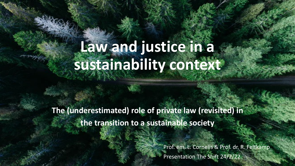# **Law and justice in a sustainability context**

**The (underestimated) role of private law (revisited) in the transition to a sustainable society** 

> Prof. em. L. Cornelis & Prof. dr. R. Feltkamp Presentation The Shift 24/2/22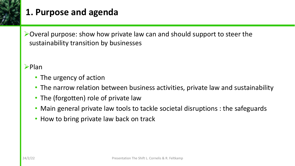

### **1. Purpose and agenda**

 $\triangleright$  Overal purpose: show how private law can and should support to steer the sustainability transition by businesses

#### $\blacktriangleright$ Plan

- The urgency of action
- The narrow relation between business activities, private law and sustainability
- The (forgotten) role of private law
- Main general private law tools to tackle societal disruptions : the safeguards
- How to bring private law back on track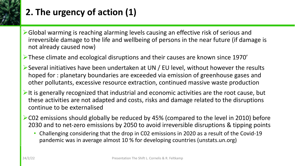

### **2. The urgency of action (1)**

- ØGlobal warming is reaching alarming levels causing an effective risk of serious and irreversible damage to the life and wellbeing of persons in the near future (if damage is not already caused now)
- ØThese climate and ecological disruptions and their causes are known since 1970'
- $\triangleright$  Several initiatives have been undertaken at UN / EU level, without however the results hoped for : planetary boundaries are exceeded via emission of greenhouse gases and other pollutants, excessive resource extraction, continued massive waste production
- $\triangleright$ It is generally recognized that industrial and economic activities are the root cause, but these activities are not adapted and costs, risks and damage related to the disruptions continue to be externalised
- $\triangleright$  C02 emissions should globally be reduced by 45% (compared to the level in 2010) before 2030 and to net-zero emissions by 2050 to avoid irreversible disruptions & tipping points
	- Challenging considering that the drop in C02 emissions in 2020 as a result of the Covid-19 pandemic was in average almost 10 % for developing countries (unstats.un.org)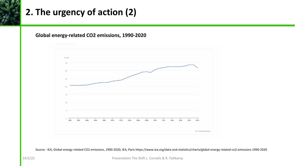### **2. The urgency of action (2)**

#### **Global energy-related CO2 emissions, 1990-2020**



Source : IEA, Global energy-related CO2 emissions, 1990-2020, IEA, Paris https://www.iea.org/data-and-statistics/charts/global-energy-related-co2-emissions-1990-2020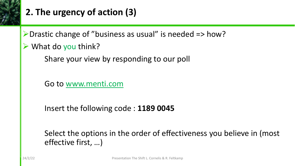

### **2. The ur[gency of action](http://www.mentimeter.com/) (3)**

▶ Drastic change of "business as usual" is needed

 $\triangleright$  What do you think?

Share your view by responding to our pol

Go to www.menti.com

Insert the following code : **1189 0045**

Select the options in the order of effectiven effective first, …)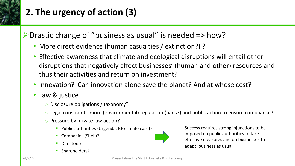

## **2. The urgency of action (3)**

 $\triangleright$  Drastic change of "business as usual" is needed  $\Rightarrow$  how?

- More direct evidence (human casualties / extinction?) ?
- Effective awareness that climate and ecological disruptions will entail other disruptions that negatively affect businesses' (human and other) resources and thus their activities and return on investment?
- Innovation? Can innovation alone save the planet? And at whose cost?
- Law & justice
	- o Disclosure obligations / taxonomy?
	- o Legal constraint more (environmental) regulation (bans?) and public action to ensure compliance?
	- o Pressure by private law action?
		- Public authorities (Urgenda, BE climate case)?
		- § Companies (Shell)?
		- Directors?
		- § Shareholders?



Success requires strong injunctions to be imposed on public authorities to take effective measures and on businesses to adapt 'business as usual'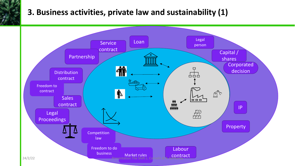#### **3. Business activities, private law and sustainability (1)**

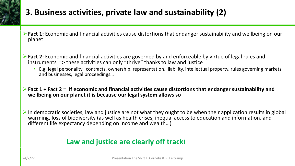

### **3. Business activities, private law and sustainability (2)**

- Ø**Fact 1:** Economic and financial activities cause distortions that endanger sustainability and wellbeing on our planet
- Ø**Fact 2:** Economic and financial activities are governed by and enforceable by virtue of legal rules and instruments => these activities can only "thrive" thanks to law and justice
	- E.g. legal personality, contracts, ownership, representation, liability, intellectual property, rules governing markets and businesses, legal proceedings…
- Ø**Fact 1 + Fact 2 = If economic and financial activities cause distortions that endanger sustainability and wellbeing on our planet it is because our legal system allows so**
- $\triangleright$  In democratic societies, law and justice are not what they ought to be when their application results in global warming, loss of biodiversity (as well as health crises, inequal access to education and information, and different life expectancy depending on income and wealth…)

#### **Law and justice are clearly off track!**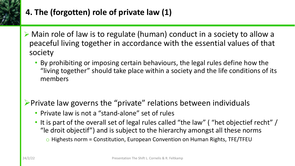

### **4. The (forgotten) role of private law (1)**

- Ø Main role of law is to regulate (human) conduct in a society to allow a peaceful living together in accordance with the essential values of that society
	- By prohibiting or imposing certain behaviours, the legal rules define how the "living together" should take place within a society and the life conditions of its members

 $\triangleright$  Private law governs the "private" relations between individuals

- Private law is not a "stand-alone" set of rules
- It is part of the overall set of legal rules called "the law" ( "het objectief recht" / "le droit objectif") and is subject to the hierarchy amongst all these norms  $\circ$  Highests norm = Constitution, European Convention on Human Rights, TFE/TFEU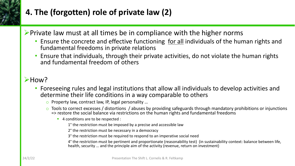

### **4. The (forgotten) role of private law (2)**

#### $\triangleright$  Private law must at all times be in compliance with the higher norms

- Ensure the concrete and effective functioning for all individuals of the human rights and fundamental freedoms in private relations
- Ensure that individuals, through their private activities, do not violate the human rights and fundamental freedom of others

#### $\blacktriangleright$ How?

- Foreseeing rules and legal institutions that allow all individuals to develop activities and determine their life conditions in a way comparable to others
	- o Property law, contract law, IP, legal personality ...
	- $\circ$  Tools to correct excesses / distortions / abuses by providing safeguards through mandatory prohibitions or injunctions => restore the social balance via restrictions on the human rights and fundamental freedoms
		- 4 conditions are to be respected :
			- 1° the restriction must be imposed by a precise and accessible law
			- 2° the restriction must be necessary in a democracy
			- 3° the restriction must be required to respond to an imperative social need
			- 4° the restriction must be pertinent and proportionate (reasonability test) (in sustainability context: balance between life, health, security … and the principle aim of the activity (revenue, return on investment)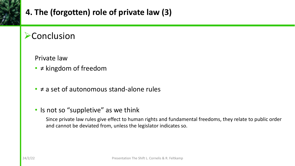

### **4. The (forgotten) role of private law (3)**

### **Exercusion**

Private law

- ≠ kingdom of freedom
- ≠ a set of autonomous stand-alone rules
- Is not so "suppletive" as we think

Since private law rules give effect to human rights and fundamental freedoms, they relate to public order and cannot be deviated from, unless the legislator indicates so.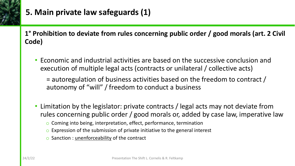

### **5. Main private law safeguards (1)**

**1° Prohibition to deviate from rules concerning public order / good morals (art. 2 Civil Code)**

• Economic and industrial activities are based on the successive conclusion and execution of multiple legal acts (contracts or unilateral / collective acts)

= autoregulation of business activities based on the freedom to contract / autonomy of "will" / freedom to conduct a business

- Limitation by the legislator: private contracts / legal acts may not deviate from rules concerning public order / good morals or, added by case law, imperative law
	- o Coming into being, interpretation, effect, performance, termination
	- $\circ$  Expression of the submission of private initiative to the general interest
	- o Sanction : unenforceability of the contract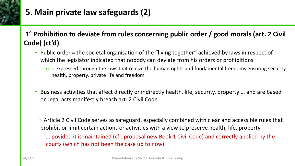

### **5. Main private law safeguards (2)**

#### **1° Prohibition to deviate from rules concerning public order / good morals (art. 2 Civil Code) (ct'd)**

- Public order = the societal organisation of the "living together" achieved by laws in respect of which the legislator indicated that nobody can deviate from his orders or prohibitions
	- $\circ$  = expressed through the laws that realize the human rights and fundamental freedoms ensuring security, health, property, private life and freedom
- Business activities that affect directly or indirectly health, life, security, property…. and are based on legal acts manifestly breach art. 2 Civil Code
- $\Rightarrow$  Article 2 Civil Code serves as safeguard, especially combined with clear and accessible rules that prohibit or limit certain actions or activities with a view to preserve health, life, property

… povided it is maintained (cfr. proposal new Book 1 Civil Code) and correctly applied by the courts (which has not been the case up to now)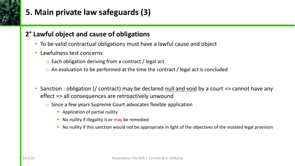

### **5. Main private law safeguards (3)**

#### **2° Lawful object and cause of obligations**

- To be valid contractual obligations must have a lawful cause and object
- Lawfulness test concerns
	- o Each obligation deriving from a contract / legal act
	- $\circ$  An evaluation to be performed at the time the contract / legal act is concluded
- Sanction : obligation (/ contract) may be declared null and void by a court => cannot have any effect => all consequences are retroactively unwound
	- o Since a few years Supreme Court advocates flexible application
		- Application of partial nullity
		- No nullity if illegality is or may be remedied
		- No nullity if this sanction would not be appropriate in light of the objectives of the violated legal provision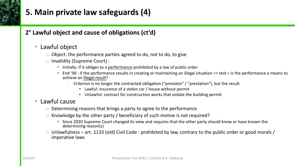

### **5. Main private law safeguards (4)**

#### **2° Lawful object and cause of obligations (ct'd)**

#### • Lawful object

- $\circ$  Object: the performance parties agreed to do, not to do, to give
- o Invalidity (Supreme Court) :
	- Initially: if it obliges to a performance prohibited by a law of public order
	- § End '90 : if the performance results in creating or maintaining an illegal situation => test = is the performance a means to achieve an illegal result?
		- Criterion is no longer the contracted obligation ("prestatie" / "prestation"), but the result
			- Lawful: insurance of a stolen car / house without permit
			- Unlawful: contract for construction works that violate the building permit

#### • Lawful cause

- $\circ$  Determining reasons that brings a party to agree to the performance
- o Knowledge by the other party / beneficiary of such motive is not required?
	- Since 2020 Supreme Court changed its view and requires that the other party should know or have known the determining reason(s)
- o Unlawfulness art. 1133 (old) Civil Code : prohibited by law, contrary to the public order or good morals / imperative laws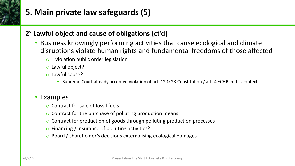

### **5. Main private law safeguards (5)**

#### **2° Lawful object and cause of obligations (ct'd)**

- Business knowingly performing activities that cause ecological and climate disruptions violate human rights and fundamental freedoms of those affected
	- $\circ$  = violation public order legislation
	- o Lawful object?
	- o Lawful cause?
		- Supreme Court already accepted violation of art. 12 & 23 Constitution / art. 4 ECHR in this context

#### • Examples

- o Contract for sale of fossil fuels
- $\circ$  Contract for the purchase of polluting production means
- o Contract for production of goods through polluting production processes
- o Financing / insurance of polluting activities?
- o Board / shareholder's decisions externalising ecological damages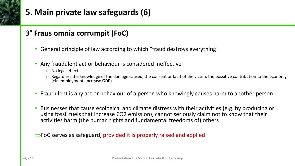

#### **3° Fraus omnia corrumpit (FoC)**

- General principle of law according to which "fraud destroys everything"
- Any fraudulent act or behaviour is considered ineffective
	- o No legal effect
	- $\circ$  Regardless the knowledge of the damage caused, the consent or fault of the victim, the possitive contribution to the economy (cfr. employment, increase GDP)
- Fraudulent is any act or behaviour of a person who knowingly causes harm to another person
- Businesses that cause ecological and climate distress with their activities (e.g. by producing or using fossil fuels that increase CO2 emission), cannot seriously claim not to know that their activities harm (the human rights and fundamental freedoms of) others

 $\Rightarrow$  FoC serves as safeguard, provided it is properly raised and applied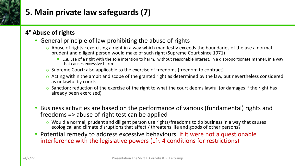

### **5. Main private law safeguards (7)**

#### **4° Abuse of rights**

#### • General principle of law prohibiting the abuse of rights

- o Abuse of rights : exercising a right in a way which manifestly exceeds the boundaries of the use a normal prudent and diligent person would make of such right (Supreme Court since 1971)
	- E.g. use of a right with the sole intention to harm, without reasonable interest, in a disproportionate manner, in a way that causes excessive harm
- o Supreme Court: also applicable to the exercise of freedoms (freedom to contract)
- $\circ$  Acting within the ambit and scope of the granted right as determined by the law, but nevertheless considered as unlawful by courts
- $\circ$  Sanction: reduction of the exercise of the right to what the court deems lawful (or damages if the right has already been exercised)
- Business activities are based on the performance of various (fundamental) rights and freedoms => abuse of right test can be applied
	- $\circ$  Would a normal, prudent and diligent person use rights/freedoms to do business in a way that causes ecological and climate disruptions that affect / threatens life and goods of other persons?
- Potential remedy to address excessive behaviours, if it were not a questionable interference with the legislative powers (cfr. 4 conditions for restrictions)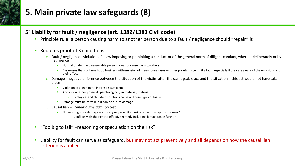### **5. Main private law safeguards (8)**

#### **5° Liability for fault / negligence (art. 1382/1383 Civil code)**

- Principle rule: a person causing harm to another person due to a fault / negligence should "repair" it
- Requires proof of 3 conditions
	- $\circ$  Fault / negligence : violation of a law imposing or prohibiting a conduct or of the general norm of diligent conduct, whether deliberately or by negligence
		- Normal prudent and reasonable person does not cause harm to others
		- Businesses that continue to do business with emission of greenhouse gases or other pollutants commit a fault, especially if they are aware of the emissions and their effect
	- $\circ$  Damage : negative difference between the situation of the victim after the damageable act and the situation if this act would not have taken place
		- Violation of a legitimate interest is sufficient
		- **•** Any loss whether physical, psychological / immaterial, material
			- Ecological and climate disruptions cause all these types of losses
		- **Damage must be certain, but can be future damage**
	- o Causal lien = "*conditio sine qua non* test"
		- § Not existing since damage occurs anyway even if a business would adapt its business?
			- Conflicts with the right to effective remedy including damages (see further)
- "Too big to fail" –reasoning or speculation on the risk?
- Liability for fault can serve as safeguard, but may not act preventively and all depends on how the causal lien criterion is applied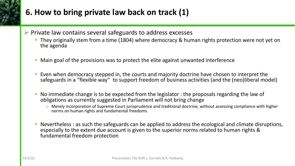### **6. How to bring private law back on track (1)**

- $\triangleright$  Private law contains several safeguards to address excesses
	- They originally stem from a time (1804) where democracy & human rights protection were not yet on the agenda
	- Main goal of the provisions was to protect the elite against unwanted interference
	- Even when democracy stepped in, the courts and majority doctrine have chosen to interpret the safeguards in a "flexible way" to support freedom of business activities (and the (neo)liberal model)
	- No immediate change is to be expected from the legislator : the proposals regarding the law of obligations as currently suggested in Parliament will not bring change
		- $\circ$  Merely incorporation of Supreme Court jurisprudence and traditional doctrine, without assessing compliance with higher norms on human rights and fundamental freedoms
	- Nevertheless : as such the safeguards can be applied to address the ecological and climate disruptions, especially to the extent due account is given to the superior norms related to human rights & fundamental freedom protection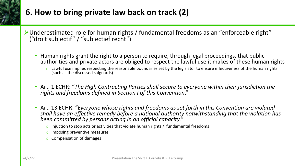### **6. How to bring private law back on track (2)**

- ØUnderestimated role for human rights / fundamental freedoms as an "enforceable right" ("droit subjectif" / "subjectief recht")
	- Human rights grant the right to a person to require, through legal proceedings, that public authorities and private actors are obliged to respect the lawful use it makes of these human rights
		- $\circ$  Lawful use implies respecting the reasonable boundaries set by the legislator to ensure effectiveness of the human rights (such as the discussed safguards)
	- Art. 1 ECHR: "*The High Contracting Parties shall secure to everyone within their jurisdiction the rights and freedoms defined in Section I of this Convention*."
	- Art. 13 ECHR: "*Everyone whose rights and freedoms as set forth in this Convention are violated shall have an effective remedy before a national authority notwithstanding that the violation has been committed by persons acting in an official capacity.*"
		- $\circ$  Injuction to stop acts or activities that violate human rights / fundamental freedoms
		- o Imposing preventive measures
		- o Compensation of damages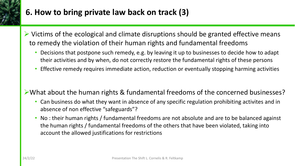

### **6. How to bring private law back on track (3)**

- $\triangleright$  Victims of the ecological and climate disruptions should be granted effective means to remedy the violation of their human rights and fundamental freedoms
	- Decisions that postpone such remedy, e.g. by leaving it up to businesses to decide how to adapt their activities and by when, do not correctly restore the fundamental rights of these persons
	- Effective remedy requires immediate action, reduction or eventually stopping harming activities
- ØWhat about the human rights & fundamental freedoms of the concerned businesses?
	- Can business do what they want in absence of any specific regulation prohibiting activites and in absence of non effective "safeguards"?
	- No : their human rights / fundamental freedoms are not absolute and are to be balanced against the human rights / fundamental freedoms of the others that have been violated, taking into account the allowed justifications for restrictions